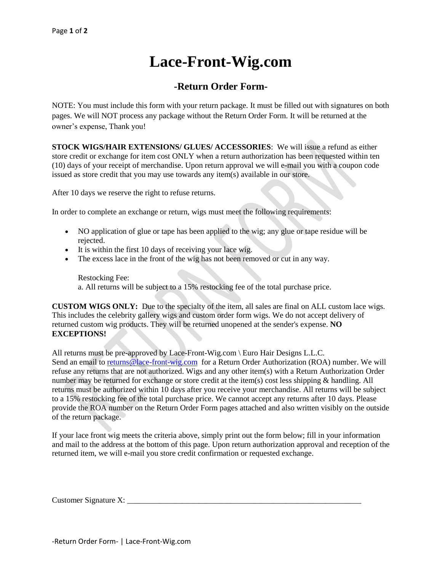## **Lace-Front-Wig.com**

## **-Return Order Form-**

NOTE: You must include this form with your return package. It must be filled out with signatures on both pages. We will NOT process any package without the Return Order Form. It will be returned at the owner's expense, Thank you!

**STOCK WIGS/HAIR EXTENSIONS/ GLUES/ ACCESSORIES**: We will issue a refund as either store credit or exchange for item cost ONLY when a return authorization has been requested within ten (10) days of your receipt of merchandise. Upon return approval we will e-mail you with a coupon code issued as store credit that you may use towards any item(s) available in our store.

After 10 days we reserve the right to refuse returns.

In order to complete an exchange or return, wigs must meet the following requirements:

- NO application of glue or tape has been applied to the wig; any glue or tape residue will be rejected.
- It is within the first 10 days of receiving your lace wig.
- The excess lace in the front of the wig has not been removed or cut in any way.

Restocking Fee: a. All returns will be subject to a 15% restocking fee of the total purchase price.

**CUSTOM WIGS ONLY:** Due to the specialty of the item, all sales are final on ALL custom lace wigs. This includes the celebrity gallery wigs and custom order form wigs. We do not accept delivery of returned custom wig products. They will be returned unopened at the sender's expense. **NO EXCEPTIONS!**

All returns must be pre-approved by Lace-Front-Wig.com \ Euro Hair Designs L.L.C. Send an email to [returns@lace-front-wig.com](mailto:returns@lace-front-wig.com) for a Return Order Authorization (ROA) number. We will refuse any returns that are not authorized. Wigs and any other item(s) with a Return Authorization Order number may be returned for exchange or store credit at the item(s) cost less shipping & handling. All returns must be authorized within 10 days after you receive your merchandise. All returns will be subject to a 15% restocking fee of the total purchase price. We cannot accept any returns after 10 days. Please provide the ROA number on the Return Order Form pages attached and also written visibly on the outside of the return package.

If your lace front wig meets the criteria above, simply print out the form below; fill in your information and mail to the address at the bottom of this page. Upon return authorization approval and reception of the returned item, we will e-mail you store credit confirmation or requested exchange.

Customer Signature X: \_\_\_\_\_\_\_\_\_\_\_\_\_\_\_\_\_\_\_\_\_\_\_\_\_\_\_\_\_\_\_\_\_\_\_\_\_\_\_\_\_\_\_\_\_\_\_\_\_\_\_\_\_\_\_\_\_\_\_